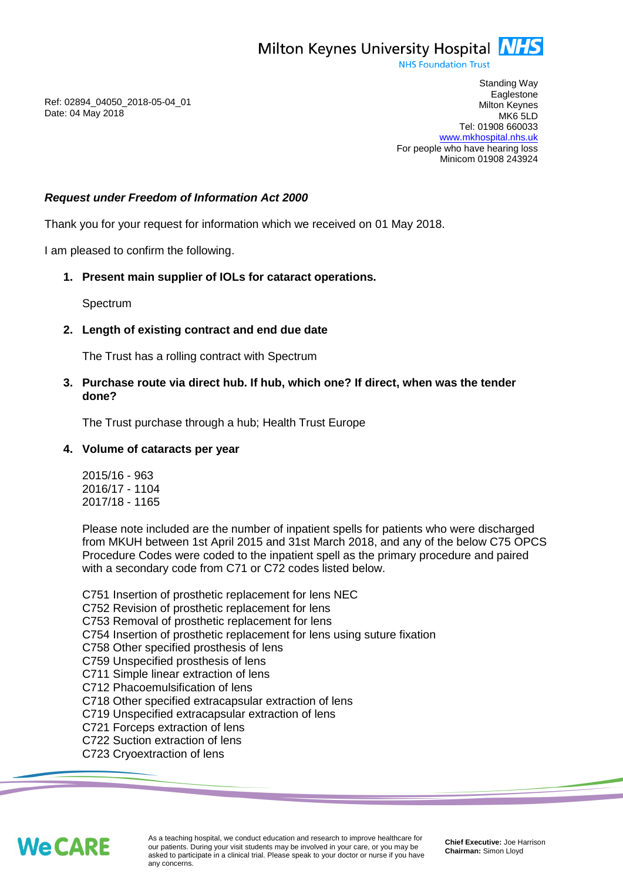**NHS Foundation Trust** 

Ref: 02894\_04050\_2018-05-04\_01 Date: 04 May 2018

Standing Way **Eaglestone** Milton Keynes MK6 5LD Tel: 01908 660033 [www.mkhospital.nhs.uk](http://www.mkhospital.nhs.uk/) For people who have hearing loss Minicom 01908 243924

## *Request under Freedom of Information Act 2000*

Thank you for your request for information which we received on 01 May 2018.

I am pleased to confirm the following.

# **1. Present main supplier of IOLs for cataract operations.**

Spectrum

## **2. Length of existing contract and end due date**

The Trust has a rolling contract with Spectrum

**3. Purchase route via direct hub. If hub, which one? If direct, when was the tender done?**

The Trust purchase through a hub; Health Trust Europe

#### **4. Volume of cataracts per year**

2015/16 - 963 2016/17 - 1104 2017/18 - 1165

Please note included are the number of inpatient spells for patients who were discharged from MKUH between 1st April 2015 and 31st March 2018, and any of the below C75 OPCS Procedure Codes were coded to the inpatient spell as the primary procedure and paired with a secondary code from C71 or C72 codes listed below.

C751 Insertion of prosthetic replacement for lens NEC

C752 Revision of prosthetic replacement for lens

C753 Removal of prosthetic replacement for lens

C754 Insertion of prosthetic replacement for lens using suture fixation

C758 Other specified prosthesis of lens

- C759 Unspecified prosthesis of lens
- C711 Simple linear extraction of lens
- C712 Phacoemulsification of lens

C718 Other specified extracapsular extraction of lens

- C719 Unspecified extracapsular extraction of lens
- C721 Forceps extraction of lens
- C722 Suction extraction of lens
- C723 Cryoextraction of lens



As a teaching hospital, we conduct education and research to improve healthcare for our patients. During your visit students may be involved in your care, or you may be asked to participate in a clinical trial. Please speak to your doctor or nurse if you have any concerns.

**Chief Executive:** Joe Harrison **Chairman:** Simon Lloyd